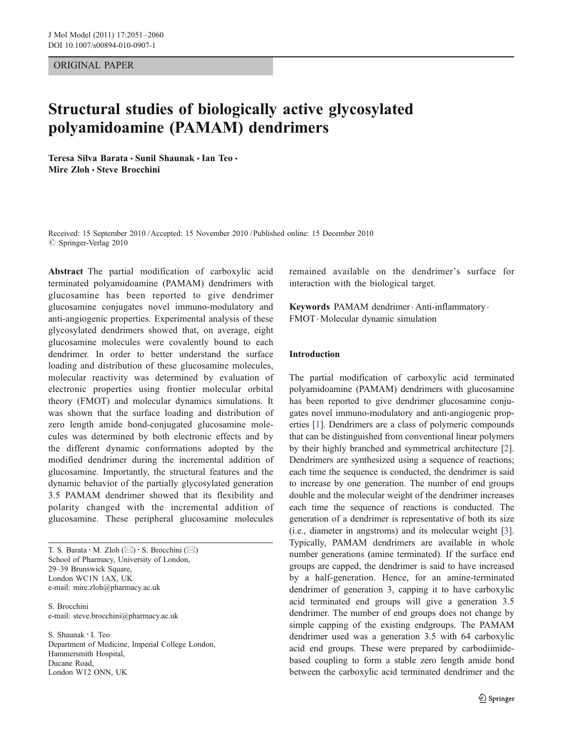#### ORIGINAL PAPER

# Structural studies of biologically active glycosylated polyamidoamine (PAMAM) dendrimers

Teresa Silva Barata & Sunil Shaunak & Ian Teo & Mire Zloh · Steve Brocchini

Received: 15 September 2010 /Accepted: 15 November 2010 / Published online: 15 December 2010  $\oslash$  Springer-Verlag 2010

Abstract The partial modification of carboxylic acid terminated polyamidoamine (PAMAM) dendrimers with glucosamine has been reported to give dendrimer glucosamine conjugates novel immuno-modulatory and anti-angiogenic properties. Experimental analysis of these glycosylated dendrimers showed that, on average, eight glucosamine molecules were covalently bound to each dendrimer. In order to better understand the surface loading and distribution of these glucosamine molecules, molecular reactivity was determined by evaluation of electronic properties using frontier molecular orbital theory (FMOT) and molecular dynamics simulations. It was shown that the surface loading and distribution of zero length amide bond-conjugated glucosamine molecules was determined by both electronic effects and by the different dynamic conformations adopted by the modified dendrimer during the incremental addition of glucosamine. Importantly, the structural features and the dynamic behavior of the partially glycosylated generation 3.5 PAMAM dendrimer showed that its flexibility and polarity changed with the incremental addition of glucosamine. These peripheral glucosamine molecules

T. S. Barata  $\cdot$  M. Zloh ( $\boxtimes$ )  $\cdot$  S. Brocchini ( $\boxtimes$ ) School of Pharmacy, University of London, 29–39 Brunswick Square, London WC1N 1AX, UK e-mail: mire.zloh@pharmacy.ac.uk

S. Brocchini e-mail: steve.brocchini@pharmacy.ac.uk

S. Shaunak : I. Teo Department of Medicine, Imperial College London, Hammersmith Hospital, Ducane Road, London W12 ONN, UK

remained available on the dendrimer's surface for interaction with the biological target.

Keywords PAMAM dendrimer. Anti-inflammatory . FMOT. Molecular dynamic simulation

#### Introduction

The partial modification of carboxylic acid terminated polyamidoamine (PAMAM) dendrimers with glucosamine has been reported to give dendrimer glucosamine conjugates novel immuno-modulatory and anti-angiogenic properties [[1\]](#page-9-0). Dendrimers are a class of polymeric compounds that can be distinguished from conventional linear polymers by their highly branched and symmetrical architecture [[2\]](#page-9-0). Dendrimers are synthesized using a sequence of reactions; each time the sequence is conducted, the dendrimer is said to increase by one generation. The number of end groups double and the molecular weight of the dendrimer increases each time the sequence of reactions is conducted. The generation of a dendrimer is representative of both its size (i.e., diameter in angstroms) and its molecular weight [[3\]](#page-9-0). Typically, PAMAM dendrimers are available in whole number generations (amine terminated). If the surface end groups are capped, the dendrimer is said to have increased by a half-generation. Hence, for an amine-terminated dendrimer of generation 3, capping it to have carboxylic acid terminated end groups will give a generation 3.5 dendrimer. The number of end groups does not change by simple capping of the existing endgroups. The PAMAM dendrimer used was a generation 3.5 with 64 carboxylic acid end groups. These were prepared by carbodiimidebased coupling to form a stable zero length amide bond between the carboxylic acid terminated dendrimer and the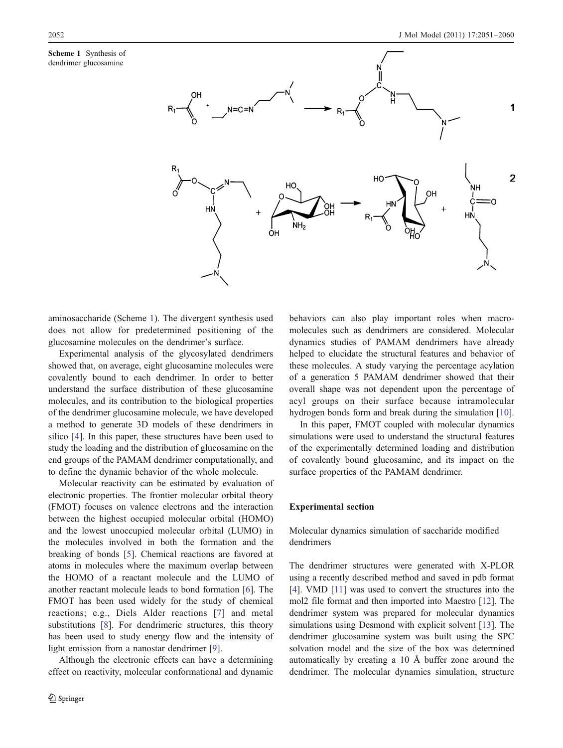Scheme 1 Synthesis of dendrimer glucosamine



aminosaccharide (Scheme 1). The divergent synthesis used does not allow for predetermined positioning of the glucosamine molecules on the dendrimer's surface.

Experimental analysis of the glycosylated dendrimers showed that, on average, eight glucosamine molecules were covalently bound to each dendrimer. In order to better understand the surface distribution of these glucosamine molecules, and its contribution to the biological properties of the dendrimer glucosamine molecule, we have developed a method to generate 3D models of these dendrimers in silico [\[4](#page-9-0)]. In this paper, these structures have been used to study the loading and the distribution of glucosamine on the end groups of the PAMAM dendrimer computationally, and to define the dynamic behavior of the whole molecule.

Molecular reactivity can be estimated by evaluation of electronic properties. The frontier molecular orbital theory (FMOT) focuses on valence electrons and the interaction between the highest occupied molecular orbital (HOMO) and the lowest unoccupied molecular orbital (LUMO) in the molecules involved in both the formation and the breaking of bonds [[5](#page-9-0)]. Chemical reactions are favored at atoms in molecules where the maximum overlap between the HOMO of a reactant molecule and the LUMO of another reactant molecule leads to bond formation [[6\]](#page-9-0). The FMOT has been used widely for the study of chemical reactions; e.g., Diels Alder reactions [\[7\]](#page-9-0) and metal substitutions [[8\]](#page-9-0). For dendrimeric structures, this theory has been used to study energy flow and the intensity of light emission from a nanostar dendrimer [[9\]](#page-9-0).

Although the electronic effects can have a determining effect on reactivity, molecular conformational and dynamic

behaviors can also play important roles when macromolecules such as dendrimers are considered. Molecular dynamics studies of PAMAM dendrimers have already helped to elucidate the structural features and behavior of these molecules. A study varying the percentage acylation of a generation 5 PAMAM dendrimer showed that their overall shape was not dependent upon the percentage of acyl groups on their surface because intramolecular hydrogen bonds form and break during the simulation [[10\]](#page-9-0).

In this paper, FMOT coupled with molecular dynamics simulations were used to understand the structural features of the experimentally determined loading and distribution of covalently bound glucosamine, and its impact on the surface properties of the PAMAM dendrimer.

#### Experimental section

Molecular dynamics simulation of saccharide modified dendrimers

The dendrimer structures were generated with X-PLOR using a recently described method and saved in pdb format [\[4](#page-9-0)]. VMD [[11](#page-9-0)] was used to convert the structures into the mol2 file format and then imported into Maestro [[12\]](#page-9-0). The dendrimer system was prepared for molecular dynamics simulations using Desmond with explicit solvent [[13\]](#page-9-0). The dendrimer glucosamine system was built using the SPC solvation model and the size of the box was determined automatically by creating a 10 Å buffer zone around the dendrimer. The molecular dynamics simulation, structure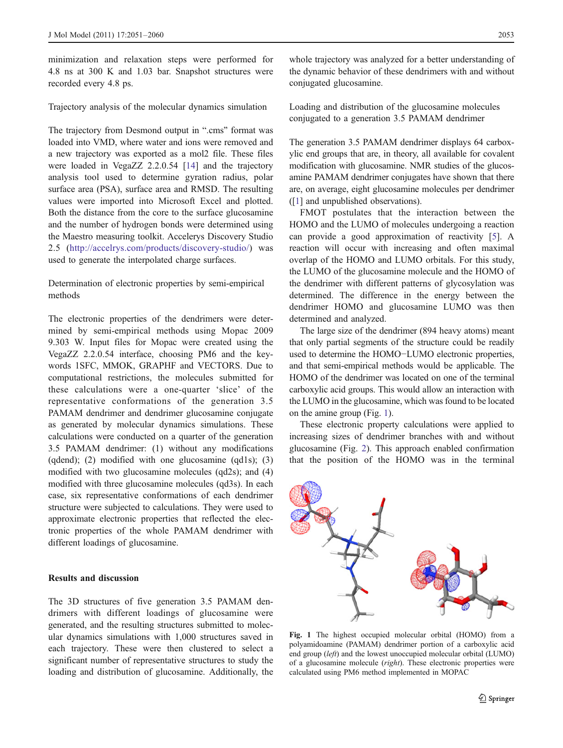minimization and relaxation steps were performed for 4.8 ns at 300 K and 1.03 bar. Snapshot structures were recorded every 4.8 ps.

Trajectory analysis of the molecular dynamics simulation

The trajectory from Desmond output in ".cms" format was loaded into VMD, where water and ions were removed and a new trajectory was exported as a mol2 file. These files were loaded in VegaZZ 2.2.0.54 [[14\]](#page-9-0) and the trajectory analysis tool used to determine gyration radius, polar surface area (PSA), surface area and RMSD. The resulting values were imported into Microsoft Excel and plotted. Both the distance from the core to the surface glucosamine and the number of hydrogen bonds were determined using the Maestro measuring toolkit. Accelerys Discovery Studio 2.5 ([http://accelrys.com/products/discovery-studio/\)](http://accelrys.com/products/discovery-studio/) was used to generate the interpolated charge surfaces.

Determination of electronic properties by semi-empirical methods

The electronic properties of the dendrimers were determined by semi-empirical methods using Mopac 2009 9.303 W. Input files for Mopac were created using the VegaZZ 2.2.0.54 interface, choosing PM6 and the keywords 1SFC, MMOK, GRAPHF and VECTORS. Due to computational restrictions, the molecules submitted for these calculations were a one-quarter 'slice' of the representative conformations of the generation 3.5 PAMAM dendrimer and dendrimer glucosamine conjugate as generated by molecular dynamics simulations. These calculations were conducted on a quarter of the generation 3.5 PAMAM dendrimer: (1) without any modifications (qdend); (2) modified with one glucosamine (qd1s); (3) modified with two glucosamine molecules (qd2s); and (4) modified with three glucosamine molecules (qd3s). In each case, six representative conformations of each dendrimer structure were subjected to calculations. They were used to approximate electronic properties that reflected the electronic properties of the whole PAMAM dendrimer with different loadings of glucosamine.

#### Results and discussion

The 3D structures of five generation 3.5 PAMAM dendrimers with different loadings of glucosamine were generated, and the resulting structures submitted to molecular dynamics simulations with 1,000 structures saved in each trajectory. These were then clustered to select a significant number of representative structures to study the loading and distribution of glucosamine. Additionally, the

whole trajectory was analyzed for a better understanding of the dynamic behavior of these dendrimers with and without conjugated glucosamine.

Loading and distribution of the glucosamine molecules conjugated to a generation 3.5 PAMAM dendrimer

The generation 3.5 PAMAM dendrimer displays 64 carboxylic end groups that are, in theory, all available for covalent modification with glucosamine. NMR studies of the glucosamine PAMAM dendrimer conjugates have shown that there are, on average, eight glucosamine molecules per dendrimer ([\[1](#page-9-0)] and unpublished observations).

FMOT postulates that the interaction between the HOMO and the LUMO of molecules undergoing a reaction can provide a good approximation of reactivity [[5\]](#page-9-0). A reaction will occur with increasing and often maximal overlap of the HOMO and LUMO orbitals. For this study, the LUMO of the glucosamine molecule and the HOMO of the dendrimer with different patterns of glycosylation was determined. The difference in the energy between the dendrimer HOMO and glucosamine LUMO was then determined and analyzed.

The large size of the dendrimer (894 heavy atoms) meant that only partial segments of the structure could be readily used to determine the HOMO−LUMO electronic properties, and that semi-empirical methods would be applicable. The HOMO of the dendrimer was located on one of the terminal carboxylic acid groups. This would allow an interaction with the LUMO in the glucosamine, which was found to be located on the amine group (Fig. 1).

These electronic property calculations were applied to increasing sizes of dendrimer branches with and without glucosamine (Fig. [2\)](#page-3-0). This approach enabled confirmation that the position of the HOMO was in the terminal



Fig. 1 The highest occupied molecular orbital (HOMO) from a polyamidoamine (PAMAM) dendrimer portion of a carboxylic acid end group (left) and the lowest unoccupied molecular orbital (LUMO) of a glucosamine molecule (right). These electronic properties were calculated using PM6 method implemented in MOPAC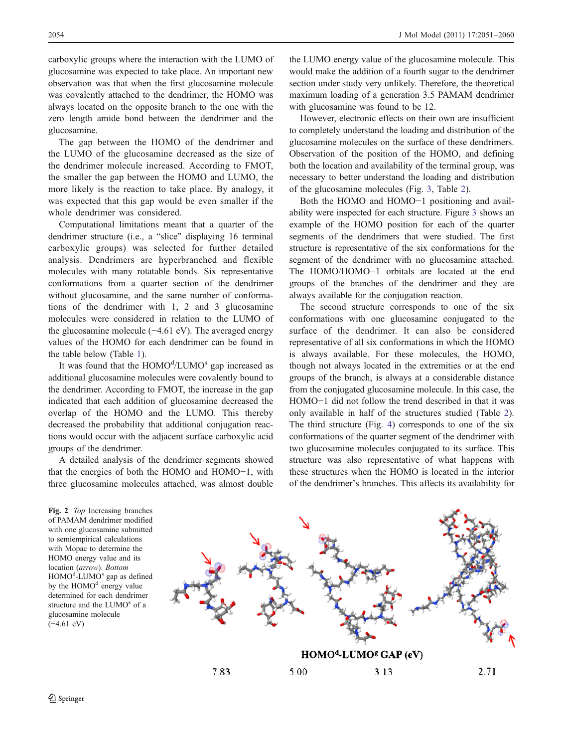carboxylic groups where the interaction with the LUMO of glucosamine was expected to take place. An important new observation was that when the first glucosamine molecule was covalently attached to the dendrimer, the HOMO was always located on the opposite branch to the one with the zero length amide bond between the dendrimer and the glucosamine.

The gap between the HOMO of the dendrimer and the LUMO of the glucosamine decreased as the size of the dendrimer molecule increased. According to FMOT, the smaller the gap between the HOMO and LUMO, the more likely is the reaction to take place. By analogy, it was expected that this gap would be even smaller if the whole dendrimer was considered.

Computational limitations meant that a quarter of the dendrimer structure (i.e., a "slice" displaying 16 terminal carboxylic groups) was selected for further detailed analysis. Dendrimers are hyperbranched and flexible molecules with many rotatable bonds. Six representative conformations from a quarter section of the dendrimer without glucosamine, and the same number of conformations of the dendrimer with 1, 2 and 3 glucosamine molecules were considered in relation to the LUMO of the glucosamine molecule (−4.61 eV). The averaged energy values of the HOMO for each dendrimer can be found in the table below (Table [1\)](#page-4-0).

It was found that the HOMO<sup>d</sup>/LUMO<sup>s</sup> gap increased as additional glucosamine molecules were covalently bound to the dendrimer. According to FMOT, the increase in the gap indicated that each addition of glucosamine decreased the overlap of the HOMO and the LUMO. This thereby decreased the probability that additional conjugation reactions would occur with the adjacent surface carboxylic acid groups of the dendrimer.

A detailed analysis of the dendrimer segments showed that the energies of both the HOMO and HOMO−1, with three glucosamine molecules attached, was almost double

<span id="page-3-0"></span>2054 J Mol Model (2011) 17:2051–2060

the LUMO energy value of the glucosamine molecule. This would make the addition of a fourth sugar to the dendrimer section under study very unlikely. Therefore, the theoretical maximum loading of a generation 3.5 PAMAM dendrimer with glucosamine was found to be 12.

However, electronic effects on their own are insufficient to completely understand the loading and distribution of the glucosamine molecules on the surface of these dendrimers. Observation of the position of the HOMO, and defining both the location and availability of the terminal group, was necessary to better understand the loading and distribution of the glucosamine molecules (Fig. [3,](#page-4-0) Table [2\)](#page-5-0).

Both the HOMO and HOMO−1 positioning and availability were inspected for each structure. Figure [3](#page-4-0) shows an example of the HOMO position for each of the quarter segments of the dendrimers that were studied. The first structure is representative of the six conformations for the segment of the dendrimer with no glucosamine attached. The HOMO/HOMO−1 orbitals are located at the end groups of the branches of the dendrimer and they are always available for the conjugation reaction.

The second structure corresponds to one of the six conformations with one glucosamine conjugated to the surface of the dendrimer. It can also be considered representative of all six conformations in which the HOMO is always available. For these molecules, the HOMO, though not always located in the extremities or at the end groups of the branch, is always at a considerable distance from the conjugated glucosamine molecule. In this case, the HOMO−1 did not follow the trend described in that it was only available in half of the structures studied (Table [2\)](#page-5-0). The third structure (Fig. [4\)](#page-5-0) corresponds to one of the six conformations of the quarter segment of the dendrimer with two glucosamine molecules conjugated to its surface. This structure was also representative of what happens with these structures when the HOMO is located in the interior of the dendrimer's branches. This affects its availability for

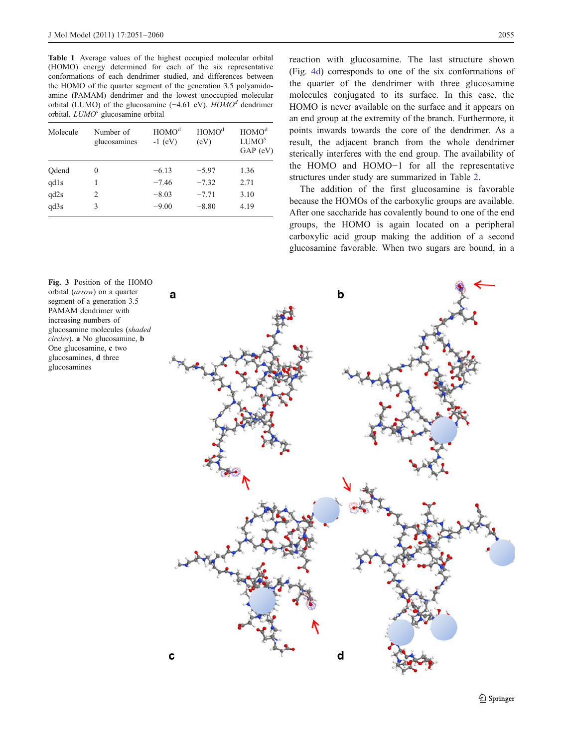<span id="page-4-0"></span>Table 1 Average values of the highest occupied molecular orbital (HOMO) energy determined for each of the six representative conformations of each dendrimer studied, and differences between the HOMO of the quarter segment of the generation 3.5 polyamidoamine (PAMAM) dendrimer and the lowest unoccupied molecular orbital (LUMO) of the glucosamine (−4.61 eV).  $HOMO<sup>d</sup>$  dendrimer orbital, LUMO<sup>s</sup> glucosamine orbital

| Molecule | Number of<br>glucosamines | HOMO <sup>d</sup><br>$-1$ (eV) | HOMO <sup>d</sup><br>(eV) | HOMO <sup>d</sup><br>LUMO <sup>s</sup><br>$GAP$ (eV) |
|----------|---------------------------|--------------------------------|---------------------------|------------------------------------------------------|
| Qdend    | 0                         | $-6.13$                        | $-5.97$                   | 1.36                                                 |
| qd1s     |                           | $-7.46$                        | $-7.32$                   | 2.71                                                 |
| qd2s     | 2                         | $-8.03$                        | $-7.71$                   | 3.10                                                 |
| qd3s     | 3                         | $-9.00$                        | $-8.80$                   | 4.19                                                 |

reaction with glucosamine. The last structure shown (Fig. [4d](#page-5-0)) corresponds to one of the six conformations of the quarter of the dendrimer with three glucosamine molecules conjugated to its surface. In this case, the HOMO is never available on the surface and it appears on an end group at the extremity of the branch. Furthermore, it points inwards towards the core of the dendrimer. As a result, the adjacent branch from the whole dendrimer sterically interferes with the end group. The availability of the HOMO and HOMO−1 for all the representative structures under study are summarized in Table [2](#page-5-0).

The addition of the first glucosamine is favorable because the HOMOs of the carboxylic groups are available. After one saccharide has covalently bound to one of the end groups, the HOMO is again located on a peripheral carboxylic acid group making the addition of a second glucosamine favorable. When two sugars are bound, in a

Fig. 3 Position of the HOMO orbital (arrow) on a quarter segment of a generation 3.5 PAMAM dendrimer with increasing numbers of glucosamine molecules (shaded circles). a No glucosamine, b One glucosamine, c two glucosamines, d three glucosamines

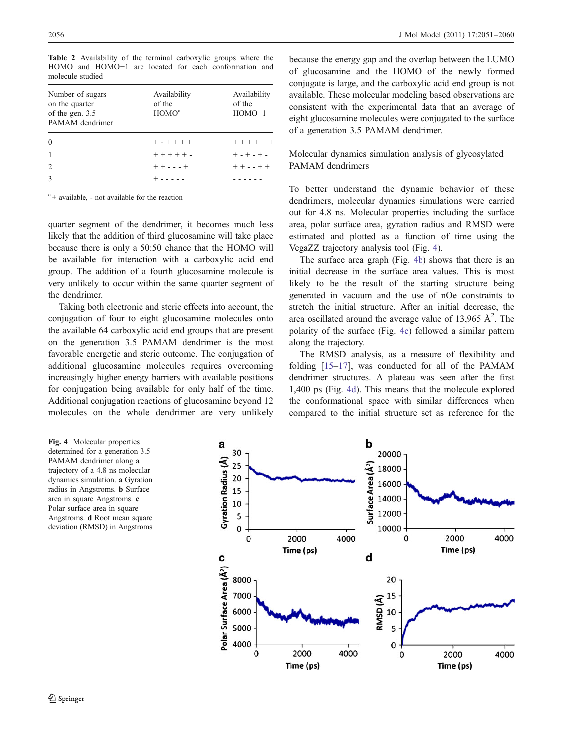| Number of sugars<br>on the quarter<br>of the gen. 3.5<br>PAMAM dendrimer | Availability<br>of the<br>HOMO <sup>a</sup> | Availability<br>of the<br>$HOMO-1$ |
|--------------------------------------------------------------------------|---------------------------------------------|------------------------------------|
| $\theta$                                                                 | $+ - + + + +$                               | $+ + + + + +$                      |
| $\mathbf{1}$                                                             | $+ + + + + +$                               | $+ - + - + -$                      |
|                                                                          |                                             |                                    |
| $\overline{2}$                                                           | $++--++$                                    | $+ + - - + +$                      |

<span id="page-5-0"></span>Table 2 Availability of the terminal carboxylic groups where the HOMO and HOMO−1 are located for each conformation and molecule studied

<sup>a</sup> + available, - not available for the reaction

quarter segment of the dendrimer, it becomes much less likely that the addition of third glucosamine will take place because there is only a 50:50 chance that the HOMO will be available for interaction with a carboxylic acid end group. The addition of a fourth glucosamine molecule is very unlikely to occur within the same quarter segment of the dendrimer.

Taking both electronic and steric effects into account, the conjugation of four to eight glucosamine molecules onto the available 64 carboxylic acid end groups that are present on the generation 3.5 PAMAM dendrimer is the most favorable energetic and steric outcome. The conjugation of additional glucosamine molecules requires overcoming increasingly higher energy barriers with available positions for conjugation being available for only half of the time. Additional conjugation reactions of glucosamine beyond 12 molecules on the whole dendrimer are very unlikely

because the energy gap and the overlap between the LUMO of glucosamine and the HOMO of the newly formed conjugate is large, and the carboxylic acid end group is not available. These molecular modeling based observations are consistent with the experimental data that an average of eight glucosamine molecules were conjugated to the surface of a generation 3.5 PAMAM dendrimer.

## Molecular dynamics simulation analysis of glycosylated PAMAM dendrimers

To better understand the dynamic behavior of these dendrimers, molecular dynamics simulations were carried out for 4.8 ns. Molecular properties including the surface area, polar surface area, gyration radius and RMSD were estimated and plotted as a function of time using the VegaZZ trajectory analysis tool (Fig. 4).

The surface area graph (Fig. 4b) shows that there is an initial decrease in the surface area values. This is most likely to be the result of the starting structure being generated in vacuum and the use of nOe constraints to stretch the initial structure. After an initial decrease, the area oscillated around the average value of 13,965  $A^2$ . The polarity of the surface (Fig. 4c) followed a similar pattern along the trajectory.

The RMSD analysis, as a measure of flexibility and folding [\[15](#page-9-0)–[17](#page-9-0)], was conducted for all of the PAMAM dendrimer structures. A plateau was seen after the first 1,400 ps (Fig. 4d). This means that the molecule explored the conformational space with similar differences when compared to the initial structure set as reference for the

Fig. 4 Molecular properties determined for a generation 3.5 PAMAM dendrimer along a trajectory of a 4.8 ns molecular dynamics simulation. a Gyration radius in Angstroms. b Surface area in square Angstroms. c Polar surface area in square Angstroms. d Root mean square deviation (RMSD) in Angstroms

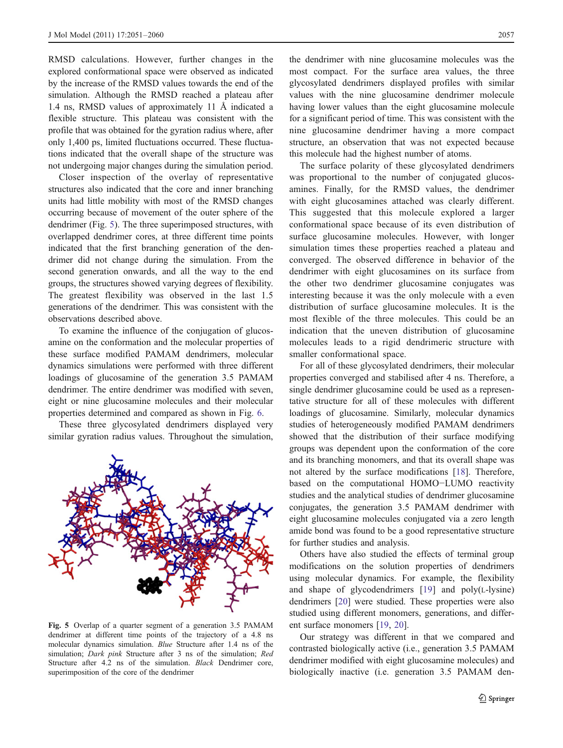RMSD calculations. However, further changes in the explored conformational space were observed as indicated by the increase of the RMSD values towards the end of the simulation. Although the RMSD reached a plateau after 1.4 ns, RMSD values of approximately 11 Å indicated a flexible structure. This plateau was consistent with the profile that was obtained for the gyration radius where, after only 1,400 ps, limited fluctuations occurred. These fluctuations indicated that the overall shape of the structure was not undergoing major changes during the simulation period.

Closer inspection of the overlay of representative structures also indicated that the core and inner branching units had little mobility with most of the RMSD changes occurring because of movement of the outer sphere of the dendrimer (Fig. 5). The three superimposed structures, with overlapped dendrimer cores, at three different time points indicated that the first branching generation of the dendrimer did not change during the simulation. From the second generation onwards, and all the way to the end groups, the structures showed varying degrees of flexibility. The greatest flexibility was observed in the last 1.5 generations of the dendrimer. This was consistent with the observations described above.

To examine the influence of the conjugation of glucosamine on the conformation and the molecular properties of these surface modified PAMAM dendrimers, molecular dynamics simulations were performed with three different loadings of glucosamine of the generation 3.5 PAMAM dendrimer. The entire dendrimer was modified with seven, eight or nine glucosamine molecules and their molecular properties determined and compared as shown in Fig. [6](#page-7-0).

These three glycosylated dendrimers displayed very similar gyration radius values. Throughout the simulation,



Fig. 5 Overlap of a quarter segment of a generation 3.5 PAMAM dendrimer at different time points of the trajectory of a 4.8 ns molecular dynamics simulation. Blue Structure after 1.4 ns of the simulation; Dark pink Structure after 3 ns of the simulation; Red Structure after 4.2 ns of the simulation. Black Dendrimer core, superimposition of the core of the dendrimer

the dendrimer with nine glucosamine molecules was the most compact. For the surface area values, the three glycosylated dendrimers displayed profiles with similar values with the nine glucosamine dendrimer molecule having lower values than the eight glucosamine molecule for a significant period of time. This was consistent with the nine glucosamine dendrimer having a more compact structure, an observation that was not expected because this molecule had the highest number of atoms.

The surface polarity of these glycosylated dendrimers was proportional to the number of conjugated glucosamines. Finally, for the RMSD values, the dendrimer with eight glucosamines attached was clearly different. This suggested that this molecule explored a larger conformational space because of its even distribution of surface glucosamine molecules. However, with longer simulation times these properties reached a plateau and converged. The observed difference in behavior of the dendrimer with eight glucosamines on its surface from the other two dendrimer glucosamine conjugates was interesting because it was the only molecule with a even distribution of surface glucosamine molecules. It is the most flexible of the three molecules. This could be an indication that the uneven distribution of glucosamine molecules leads to a rigid dendrimeric structure with smaller conformational space.

For all of these glycosylated dendrimers, their molecular properties converged and stabilised after 4 ns. Therefore, a single dendrimer glucosamine could be used as a representative structure for all of these molecules with different loadings of glucosamine. Similarly, molecular dynamics studies of heterogeneously modified PAMAM dendrimers showed that the distribution of their surface modifying groups was dependent upon the conformation of the core and its branching monomers, and that its overall shape was not altered by the surface modifications [\[18](#page-9-0)]. Therefore, based on the computational HOMO−LUMO reactivity studies and the analytical studies of dendrimer glucosamine conjugates, the generation 3.5 PAMAM dendrimer with eight glucosamine molecules conjugated via a zero length amide bond was found to be a good representative structure for further studies and analysis.

Others have also studied the effects of terminal group modifications on the solution properties of dendrimers using molecular dynamics. For example, the flexibility and shape of glycodendrimers [[19\]](#page-9-0) and poly(L-lysine) dendrimers [[20\]](#page-9-0) were studied. These properties were also studied using different monomers, generations, and different surface monomers [\[19](#page-9-0), [20](#page-9-0)].

Our strategy was different in that we compared and contrasted biologically active (i.e., generation 3.5 PAMAM dendrimer modified with eight glucosamine molecules) and biologically inactive (i.e. generation 3.5 PAMAM den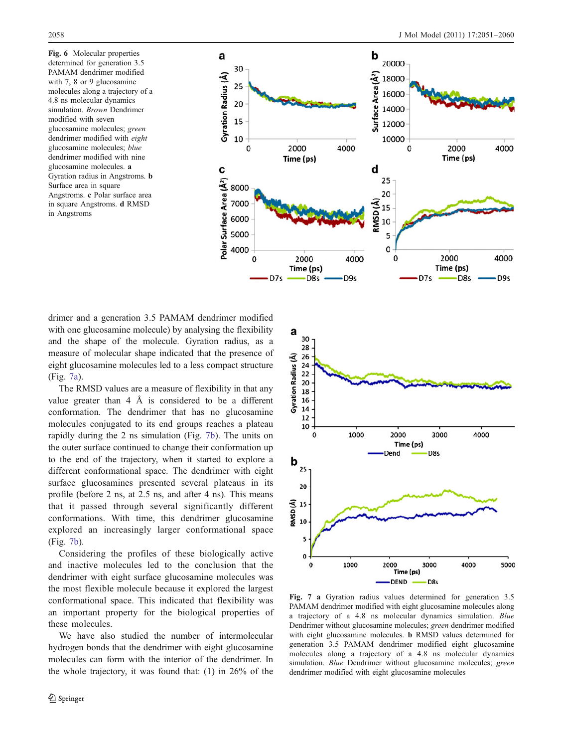<span id="page-7-0"></span>Fig. 6 Molecular properties determined for generation 3.5 PAMAM dendrimer modified with 7, 8 or 9 glucosamine molecules along a trajectory of a 4.8 ns molecular dynamics simulation. Brown Dendrimer modified with seven glucosamine molecules; green dendrimer modified with eight glucosamine molecules; blue dendrimer modified with nine glucosamine molecules. a Gyration radius in Angstroms. b Surface area in square Angstroms. c Polar surface area in square Angstroms. d RMSD in Angstroms



drimer and a generation 3.5 PAMAM dendrimer modified with one glucosamine molecule) by analysing the flexibility and the shape of the molecule. Gyration radius, as a measure of molecular shape indicated that the presence of eight glucosamine molecules led to a less compact structure (Fig. 7a).

The RMSD values are a measure of flexibility in that any value greater than  $4 \text{ Å}$  is considered to be a different conformation. The dendrimer that has no glucosamine molecules conjugated to its end groups reaches a plateau rapidly during the 2 ns simulation (Fig. 7b). The units on the outer surface continued to change their conformation up to the end of the trajectory, when it started to explore a different conformational space. The dendrimer with eight surface glucosamines presented several plateaus in its profile (before 2 ns, at 2.5 ns, and after 4 ns). This means that it passed through several significantly different conformations. With time, this dendrimer glucosamine explored an increasingly larger conformational space (Fig. 7b).

Considering the profiles of these biologically active and inactive molecules led to the conclusion that the dendrimer with eight surface glucosamine molecules was the most flexible molecule because it explored the largest conformational space. This indicated that flexibility was an important property for the biological properties of these molecules.

We have also studied the number of intermolecular hydrogen bonds that the dendrimer with eight glucosamine molecules can form with the interior of the dendrimer. In the whole trajectory, it was found that: (1) in 26% of the



Fig. 7 a Gyration radius values determined for generation 3.5 PAMAM dendrimer modified with eight glucosamine molecules along a trajectory of a 4.8 ns molecular dynamics simulation. Blue Dendrimer without glucosamine molecules; green dendrimer modified with eight glucosamine molecules. b RMSD values determined for generation 3.5 PAMAM dendrimer modified eight glucosamine molecules along a trajectory of a 4.8 ns molecular dynamics simulation. Blue Dendrimer without glucosamine molecules; green dendrimer modified with eight glucosamine molecules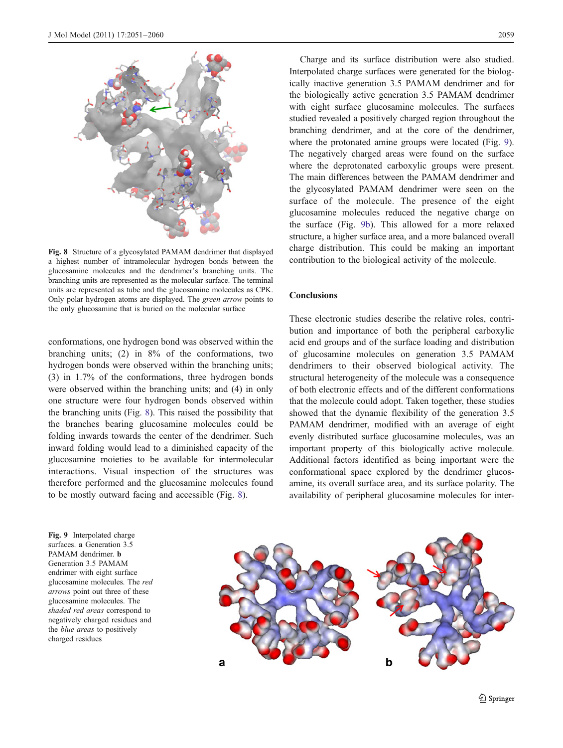

Fig. 8 Structure of a glycosylated PAMAM dendrimer that displayed a highest number of intramolecular hydrogen bonds between the glucosamine molecules and the dendrimer's branching units. The branching units are represented as the molecular surface. The terminal units are represented as tube and the glucosamine molecules as CPK. Only polar hydrogen atoms are displayed. The green arrow points to the only glucosamine that is buried on the molecular surface

conformations, one hydrogen bond was observed within the branching units; (2) in 8% of the conformations, two hydrogen bonds were observed within the branching units; (3) in 1.7% of the conformations, three hydrogen bonds were observed within the branching units; and (4) in only one structure were four hydrogen bonds observed within the branching units (Fig. 8). This raised the possibility that the branches bearing glucosamine molecules could be folding inwards towards the center of the dendrimer. Such inward folding would lead to a diminished capacity of the glucosamine moieties to be available for intermolecular interactions. Visual inspection of the structures was therefore performed and the glucosamine molecules found to be mostly outward facing and accessible (Fig. 8).

Charge and its surface distribution were also studied. Interpolated charge surfaces were generated for the biologically inactive generation 3.5 PAMAM dendrimer and for the biologically active generation 3.5 PAMAM dendrimer with eight surface glucosamine molecules. The surfaces studied revealed a positively charged region throughout the branching dendrimer, and at the core of the dendrimer, where the protonated amine groups were located (Fig. 9). The negatively charged areas were found on the surface where the deprotonated carboxylic groups were present. The main differences between the PAMAM dendrimer and the glycosylated PAMAM dendrimer were seen on the surface of the molecule. The presence of the eight glucosamine molecules reduced the negative charge on the surface (Fig. 9b). This allowed for a more relaxed structure, a higher surface area, and a more balanced overall charge distribution. This could be making an important contribution to the biological activity of the molecule.

### Conclusions

These electronic studies describe the relative roles, contribution and importance of both the peripheral carboxylic acid end groups and of the surface loading and distribution of glucosamine molecules on generation 3.5 PAMAM dendrimers to their observed biological activity. The structural heterogeneity of the molecule was a consequence of both electronic effects and of the different conformations that the molecule could adopt. Taken together, these studies showed that the dynamic flexibility of the generation 3.5 PAMAM dendrimer, modified with an average of eight evenly distributed surface glucosamine molecules, was an important property of this biologically active molecule. Additional factors identified as being important were the conformational space explored by the dendrimer glucosamine, its overall surface area, and its surface polarity. The availability of peripheral glucosamine molecules for inter-

Fig. 9 Interpolated charge surfaces. a Generation 3.5 PAMAM dendrimer. b Generation 3.5 PAMAM endrimer with eight surface glucosamine molecules. The red arrows point out three of these glucosamine molecules. The shaded red areas correspond to negatively charged residues and the *blue areas* to positively charged residues